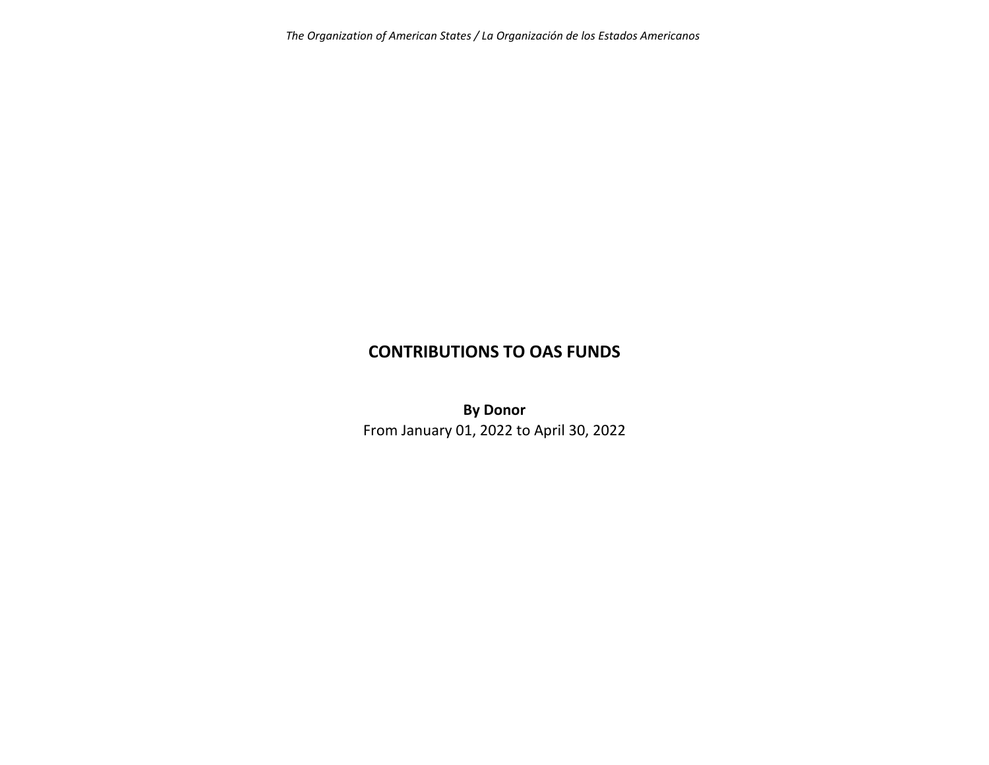*The Organization of American States / La Organización de los Estados Americanos*

# **CONTRIBUTIONS TO OAS FUNDS**

**By Donor** From January 01, 2022 to April 30, 2022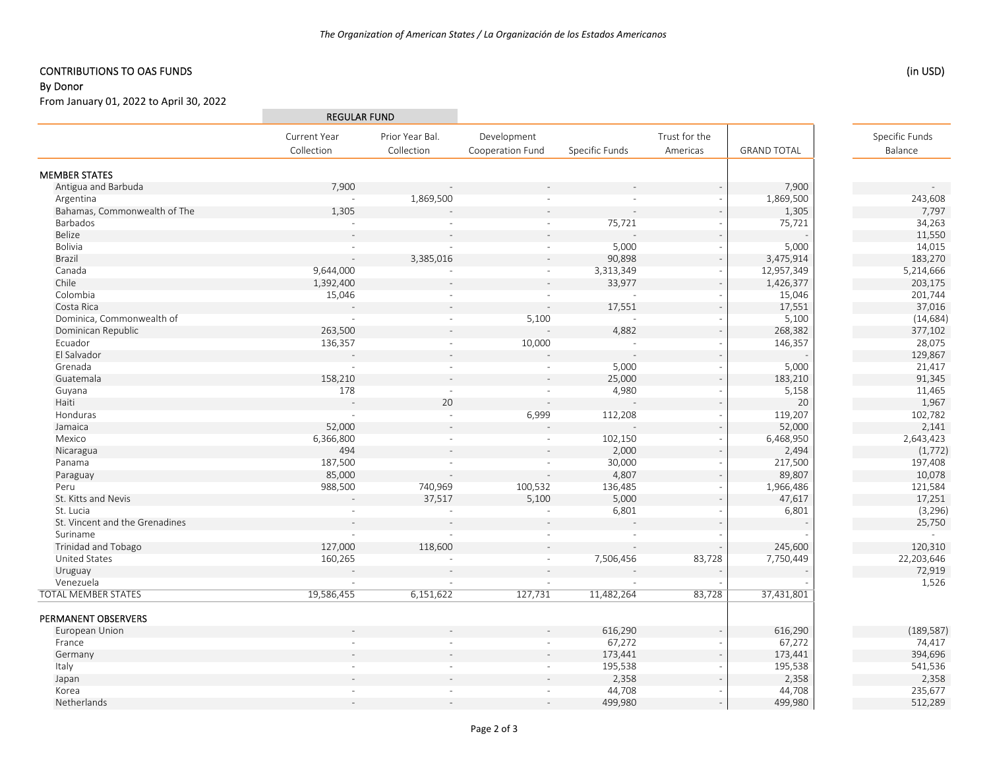## CONTRIBUTIONS TO OAS FUNDS

#### By Donor

From January 01, 2022 to April 30, 2022

|                                |                          | <b>REGULAR FUND</b> |                  |                |               |                    |                |
|--------------------------------|--------------------------|---------------------|------------------|----------------|---------------|--------------------|----------------|
|                                | Current Year             | Prior Year Bal.     | Development      |                | Trust for the |                    | Specific Funds |
|                                | Collection               | Collection          | Cooperation Fund | Specific Funds | Americas      | <b>GRAND TOTAL</b> | Balance        |
| <b>MEMBER STATES</b>           |                          |                     |                  |                |               |                    |                |
| Antigua and Barbuda            | 7,900                    |                     |                  |                |               | 7,900              |                |
| Argentina                      | $\sim$                   | 1,869,500           | $\sim$           | $\sim$         |               | 1,869,500          | 243,608        |
| Bahamas, Commonwealth of The   | 1,305                    |                     |                  |                |               | 1,305              | 7,797          |
| Barbados                       | $\overline{\phantom{a}}$ | $\sim$              | $\sim$           | 75,721         |               | 75,721             | 34,263         |
| Belize                         |                          |                     |                  |                |               |                    | 11,550         |
| Bolivia                        | $\sim$                   | $\sim$              | $\sim$           | 5,000          |               | 5,000              | 14,015         |
| Brazil                         | $\mathbf{r}$             | 3,385,016           | $\sim$           | 90,898         |               | 3,475,914          | 183,270        |
| Canada                         | 9,644,000                | $\sim$              | $\sim$           | 3,313,349      |               | 12,957,349         | 5,214,666      |
| Chile                          | 1,392,400                |                     | $\mathcal{L}$    | 33,977         |               | 1,426,377          | 203,175        |
| Colombia                       | 15,046                   | $\sim$              | $\sim$           | $\sim$ $-$     |               | 15,046             | 201,744        |
| Costa Rica                     |                          |                     |                  | 17,551         |               | 17,551             | 37,016         |
| Dominica, Commonwealth of      | $\sim$                   | $\sim$              | 5,100            | $\sim$         |               | 5,100              | (14, 684)      |
| Dominican Republic             | 263,500                  |                     |                  | 4,882          |               | 268,382            | 377,102        |
| Ecuador                        | 136,357                  | $\sim$              | 10,000           | $\sim$         |               | 146,357            | 28,075         |
| El Salvador                    |                          |                     |                  |                |               |                    | 129,867        |
| Grenada                        | $\sim$                   | $\sim$              | $\sim$           | 5,000          |               | 5,000              | 21,417         |
| Guatemala                      | 158,210                  |                     |                  | 25,000         |               | 183,210            | 91,345         |
| Guyana                         | 178                      | $\sim$              | $\sim$           | 4,980          |               | 5,158              | 11,465         |
| Haiti                          |                          | 20                  |                  |                |               | 20                 | 1,967          |
| Honduras                       | $\sim$                   | $\sim$              | 6,999            | 112,208        |               | 119,207            | 102,782        |
| Jamaica                        | 52,000                   |                     |                  |                |               | 52,000             | 2,141          |
| Mexico                         | 6,366,800                | $\sim$              | $\omega$         | 102,150        |               | 6,468,950          | 2,643,423      |
| Nicaragua                      | 494                      |                     |                  | 2,000          |               | 2,494              | (1,772)        |
| Panama                         | 187,500                  | $\sim$              | $\sim$           | 30,000         |               | 217,500            | 197,408        |
| Paraguay                       | 85,000                   |                     |                  | 4,807          |               | 89,807             | 10,078         |
| Peru                           | 988,500                  | 740,969             | 100,532          | 136,485        |               | 1,966,486          | 121,584        |
| St. Kitts and Nevis            |                          | 37,517              | 5,100            | 5,000          |               | 47,617             | 17,251         |
| St. Lucia                      |                          | $\sim$              | $\sim$           | 6,801          |               | 6,801              | (3, 296)       |
| St. Vincent and the Grenadines |                          |                     |                  |                |               |                    | 25,750         |
| Suriname                       |                          |                     | $\sim$           |                |               |                    | $\sim$         |
| Trinidad and Tobago            | 127,000                  | 118,600             |                  |                |               | 245,600            | 120,310        |
| United States                  | 160,265                  |                     | $\sim$           | 7,506,456      | 83,728        | 7,750,449          | 22,203,646     |
| Uruguay                        |                          |                     |                  |                |               |                    | 72,919         |
| Venezuela                      |                          |                     |                  |                |               |                    | 1,526          |
| <b>TOTAL MEMBER STATES</b>     | 19,586,455               | 6,151,622           | 127,731          | 11,482,264     | 83,728        | 37,431,801         |                |
| PERMANENT OBSERVERS            |                          |                     |                  |                |               |                    |                |
| European Union                 |                          |                     |                  | 616,290        |               | 616,290            | (189, 587)     |
| France                         |                          |                     |                  | 67,272         |               | 67,272             | 74,417         |
| Germany                        |                          |                     |                  | 173,441        |               | 173,441            | 394,696        |
| Italy                          |                          |                     |                  | 195,538        |               | 195,538            | 541,536        |
| Japan                          |                          |                     |                  | 2,358          |               | 2,358              | 2,358          |
| Korea                          |                          |                     |                  | 44,708         |               | 44,708             | 235,677        |
| Netherlands                    |                          |                     |                  | 499,980        |               | 499,980            | 512,289        |